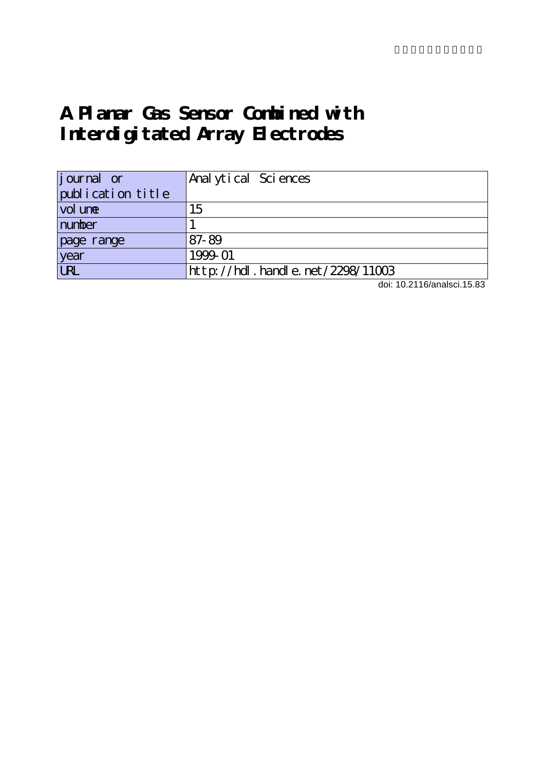# **A Planar Gas Sensor Combined with Interdigitated Array Electrodes**

| <i>j</i> ournal or                | Anal ytical Sciences             |
|-----------------------------------|----------------------------------|
| publication title                 |                                  |
| vol une                           | 15                               |
| number                            |                                  |
| page range                        | 87-89                            |
| year                              | 1999-01                          |
| $\overline{\overline{\text{UR}}}$ | http://hdl.handle.net/2298/11003 |

doi: 10.2116/analsci.15.83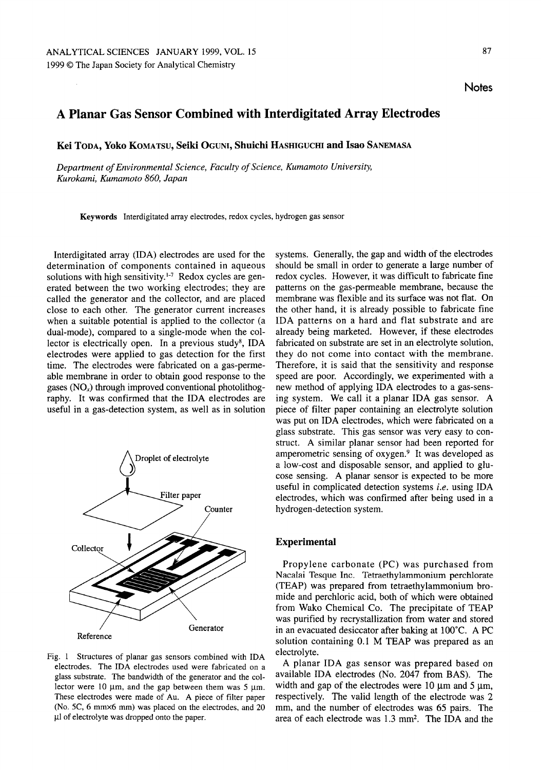# Planar Gas Sensor Combined with Interdigitated Array Electrodes

Kei Toda, Yoko Komatsu, Seiki Oguni, Shuichi Hashiguchi and Isao Sanemasa

Department of Environmental Science, Faculty of Science, Kumamoto University, Kurokami, Kumamoto 860, Japan

Keywords Interdigitated array electrodes, redox cycles, hydrogen gas sensor

Interdigitated array (IDA) electrodes are used for the determination of components contained in aqueous solutions with high sensitivity. $1-7$  Redox cycles are generated between the two working electrodes; they are called the generator and the collector, and are placed close to each other. The generator current increases when a suitable potential is applied to the collector (a dual-mode), compared to a single-mode when the collector is electrically open. In a previous study<sup>8</sup>, IDA electrodes were applied to gas detection for the first time. The electrodes were fabricated on a gas-permeable membrane in order to obtain good response to the gases  $(NO<sub>x</sub>)$  through improved conventional photolithography. It was confirmed that the IDA electrodes are useful in gas-detection system, as well as in solution



Fig. 1 Structures of planar gas sensors combined with IDA electrodes. The IDA electrodes used were fabricated on glass substrate. The bandwidth of the generator and the col lector were 10  $\mu$ m, and the gap between them was 5  $\mu$ m. These electrodes were made of Au. A piece of filter paper (No. 5C, 6 mm×6 mm) was placed on the electrodes, and 20 µl of electrolyte was dropped onto the paper.

systems. Generally, the gap and width of the electrodes should be small in order to generate a large number of redox cycles. However, it was difficult to fabricate fine patterns on the gas-permeable membrane, because the membrane was flexible and its surface was not flat. On the other hand, it is already possible to fabricate fine IDA patterns on a hard and flat substrate and are already being marketed. However, if these electrodes fabricated on substrate are set in an electrolyte solution, they do not come into contact with the membrane. Therefore, it is said that the sensitivity and response speed are poor. Accordingly, we experimented with a new method of applying IDA electrodes to a gas-sensing system. We call it a planar IDA gas sensor. A piece of filter paper containing an electrolyte solution was put on IDA electrodes, which were fabricated on a glass substrate. This gas sensor was very easy to con struct. A similar planar sensor had been reported for amperometric sensing of  $oxygen.<sup>9</sup>$  It was developed as a low-cost and disposable sensor, and applied to glucose sensing. A planar sensor is expected to be more useful in complicated detection systems i.e. using IDA electrodes, which was confirmed after being used in hydrogen-detection system.

## Experimental

Propylene carbonate (PC) was purchased from Nacalai Tesque Inc. Tetraethylammonium perchlorate (TEAP) was prepared from tetraethylammonium bro mide and perchloric acid, both of which were obtained from Wako Chemical Co. The precipitate of TEAP was purified by recrystallization from water and stored in an evacuated desiccator after baking at  $100^{\circ}$ C. A PC solution containing 0.1 M TEAP was prepared as an electrolyte.

planar IDA gas sensor was prepared based on available IDA electrodes (No. 2047 from BAS). The width and gap of the electrodes were  $10 \mu m$  and  $5 \mu m$ , respectively. The valid length of the electrode was mm, and the number of electrodes was 65 pairs. The area of each electrode was 1.3 mm2. The IDA and the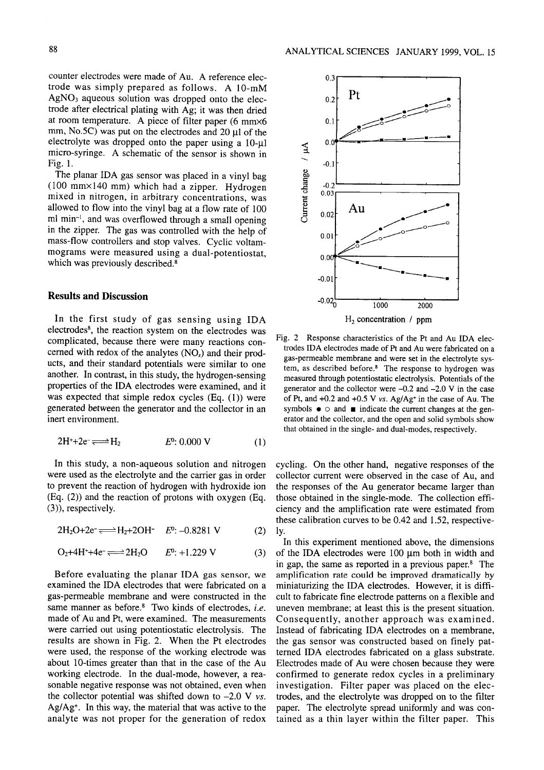counter electrodes were made of Au. A reference electrode was simply prepared as follows. A  $10-mM$  $AgNO<sub>3</sub>$  aqueous solution was dropped onto the electrode after electrical plating with Ag; it was then dried at room temperature. A piece of filter paper (6 mm $\times$ 6 mm, No.5C) was put on the electrodes and 20  $\mu$ l of the electrolyte was dropped onto the paper using a  $10$ - $\mu$ l micro-syringe. A schematic of the sensor is shown in Fig. 1.

The planar IDA gas sensor was placed in a vinyl bag (100 mm×140 mm) which had a zipper. Hydrogen mixed in nitrogen, in arbitrary concentrations, was allowed to flow into the vinyl bag at a flow rate of 100 ml min<sup>-1</sup>, and was overflowed through a small opening in the zipper. The gas was controlled with the help of mass-flow controllers and stop valves. Cyclic voltammograms were measured using a dual-potentiostat, which was previously described.<sup>8</sup>

### Results and Discussion

In the first study of gas sensing using IDA electrodes<sup>8</sup>, the reaction system on the electrodes was complicated, because there were many reactions con cerned with redox of the analytes  $(NO_x)$  and their products, and their standard potentials were similar to one another. In contrast, in this study, the hydrogen-sensing properties of the IDA electrodes were examined, and it was expected that simple redox cycles (Eq. (1)) were generated between the generator and the collector in an inert environment.

$$
2H^+ + 2e^- \Longleftrightarrow H_2 \qquad \qquad E^0: 0.000 \text{ V} \tag{1}
$$

In this study, a non-aqueous solution and nitrogen were used as the electrolyte and the carrier gas in order to prevent the reaction of hydrogen with hydroxide ion (Eq. (2)) and the reaction of protons with oxygen (Eq. (3)), respectively.

 $2H_2O+2e^- \rightleftharpoons H_2+2OH^ E^0$ : -0.8281 V (2)

$$
\text{O}_2 + 4\text{H}^+ + 4\text{e}^- \Longleftrightarrow 2\text{H}_2\text{O} \qquad E^0: +1.229\text{ V} \tag{3}
$$

Before evaluating the planar IDA gas sensor, we examined the IDA electrodes that were fabricated on gas-permeable membrane and were constructed in the same manner as before.<sup>8</sup> Two kinds of electrodes, i.e. made of Au and Pt, were examined. The measurements were carried out using potentiostatic electrolysis. The results are shown in Fig. 2. When the Pt electrodes were used, the response of the working electrode was about 10-times greater than that in the case of the Au working electrode. In the dual-mode, however, a reasonable negative response was not obtained, even when the collector potential was shifted down to  $-2.0$  V vs. Ag/Ag+. In this way, the material that was active to the analyte was not proper for the generation of redox



Fig. 2 Response characteristics of the Pt and Au IDA electrodes IDA electrodes made of Pt and Au were fabricated on gas-permeable membrane and were set in the electrolyte sys tem, as described before.<sup>8</sup> The response to hydrogen was measured through potentiostatic electrolysis. Potentials of the generator and the collector were  $-0.2$  and  $-2.0$  V in the case of Pt, and  $+0.2$  and  $+0.5$  V vs. Ag/Ag<sup>+</sup> in the case of Au. The symbols  $\bullet$   $\circ$  and  $\bullet$  indicate the current changes at the generator and the collector, and the open and solid symbols show that obtained in the single- and dual-modes, respectively.

cycling. On the other hand, negative responses of the collector current were observed in the case of Au, and the responses of the Au generator became larger than those obtained in the single-mode. The collection effi ciency and the amplification rate were estimated from these calibration curves to be 0.42 and 1.52, respective ly.

In this experiment mentioned above, the dimensions of the IDA electrodes were  $100 \mu m$  both in width and in gap, the same as reported in a previous paper. $8$  The amplification rate could be improved dramatically by miniaturizing the IDA electrodes. However, it is diffi cult to fabricate fine electrode patterns on a flexible and uneven membrane; at least this is the present situation. Consequently, another approach was examined. Instead of fabricating IDA electrodes on a membrane, the gas sensor was constructed based on finely pat terned IDA electrodes fabricated on glass substrate. Electrodes made of Au were chosen because they were confirmed to generate redox cycles in a preliminary investigation. Filter paper was placed on the elec trodes, and the electrolyte was dropped on to the filter paper. The electrolyte spread uniformly and was con tained as thin layer within the filter paper. This